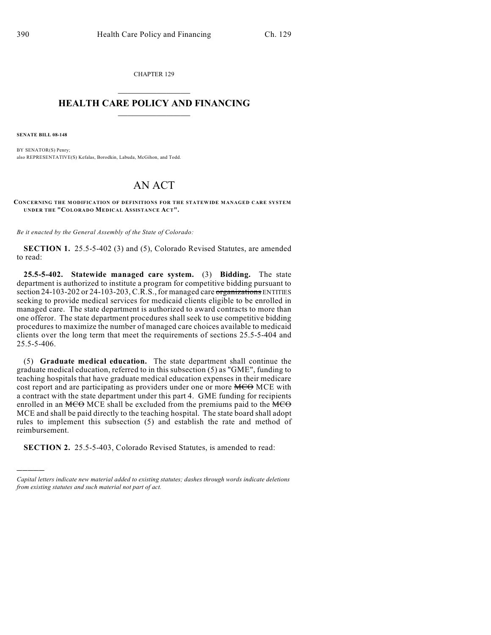CHAPTER 129  $\mathcal{L}_\text{max}$  . The set of the set of the set of the set of the set of the set of the set of the set of the set of the set of the set of the set of the set of the set of the set of the set of the set of the set of the set

## **HEALTH CARE POLICY AND FINANCING**  $\_$   $\_$   $\_$   $\_$   $\_$   $\_$   $\_$   $\_$

**SENATE BILL 08-148**

)))))

BY SENATOR(S) Penry; also REPRESENTATIVE(S) Kefalas, Borodkin, Labuda, McGihon, and Todd.

## AN ACT

**CONCERNING THE MODIFICATION OF DEFINITIONS FOR THE STATEWIDE MANAGED CARE SYSTEM UNDER THE "COLORADO MEDICAL ASSISTANCE ACT".**

*Be it enacted by the General Assembly of the State of Colorado:*

**SECTION 1.** 25.5-5-402 (3) and (5), Colorado Revised Statutes, are amended to read:

**25.5-5-402. Statewide managed care system.** (3) **Bidding.** The state department is authorized to institute a program for competitive bidding pursuant to section 24-103-202 or 24-103-203, C.R.S., for managed care organizations ENTITIES seeking to provide medical services for medicaid clients eligible to be enrolled in managed care. The state department is authorized to award contracts to more than one offeror. The state department procedures shall seek to use competitive bidding procedures to maximize the number of managed care choices available to medicaid clients over the long term that meet the requirements of sections 25.5-5-404 and 25.5-5-406.

(5) **Graduate medical education.** The state department shall continue the graduate medical education, referred to in this subsection (5) as "GME", funding to teaching hospitals that have graduate medical education expenses in their medicare cost report and are participating as providers under one or more **MCO** MCE with a contract with the state department under this part 4. GME funding for recipients enrolled in an  $MCO$  MCE shall be excluded from the premiums paid to the  $MCO$ MCE and shall be paid directly to the teaching hospital. The state board shall adopt rules to implement this subsection (5) and establish the rate and method of reimbursement.

**SECTION 2.** 25.5-5-403, Colorado Revised Statutes, is amended to read:

*Capital letters indicate new material added to existing statutes; dashes through words indicate deletions from existing statutes and such material not part of act.*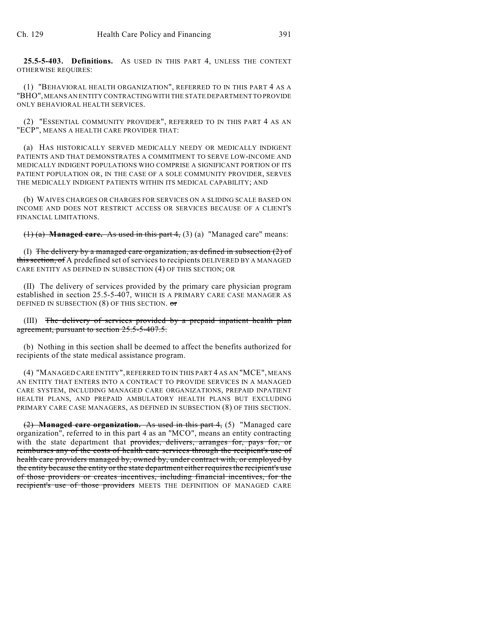**25.5-5-403. Definitions.** AS USED IN THIS PART 4, UNLESS THE CONTEXT OTHERWISE REQUIRES:

(1) "BEHAVIORAL HEALTH ORGANIZATION", REFERRED TO IN THIS PART 4 AS A "BHO", MEANS AN ENTITY CONTRACTING WITH THE STATE DEPARTMENT TO PROVIDE ONLY BEHAVIORAL HEALTH SERVICES.

(2) "ESSENTIAL COMMUNITY PROVIDER", REFERRED TO IN THIS PART 4 AS AN "ECP", MEANS A HEALTH CARE PROVIDER THAT:

(a) HAS HISTORICALLY SERVED MEDICALLY NEEDY OR MEDICALLY INDIGENT PATIENTS AND THAT DEMONSTRATES A COMMITMENT TO SERVE LOW-INCOME AND MEDICALLY INDIGENT POPULATIONS WHO COMPRISE A SIGNIFICANT PORTION OF ITS PATIENT POPULATION OR, IN THE CASE OF A SOLE COMMUNITY PROVIDER, SERVES THE MEDICALLY INDIGENT PATIENTS WITHIN ITS MEDICAL CAPABILITY; AND

(b) WAIVES CHARGES OR CHARGES FOR SERVICES ON A SLIDING SCALE BASED ON INCOME AND DOES NOT RESTRICT ACCESS OR SERVICES BECAUSE OF A CLIENT'S FINANCIAL LIMITATIONS.

(1) (a) **Managed care.** As used in this part 4, (3) (a) "Managed care" means:

(I) The delivery by a managed care organization, as defined in subsection  $(2)$  of this section, of A predefined set of services to recipients DELIVERED BY A MANAGED CARE ENTITY AS DEFINED IN SUBSECTION (4) OF THIS SECTION; OR

(II) The delivery of services provided by the primary care physician program established in section 25.5-5-407, WHICH IS A PRIMARY CARE CASE MANAGER AS DEFINED IN SUBSECTION (8) OF THIS SECTION. or

(III) The delivery of services provided by a prepaid inpatient health plan agreement, pursuant to section 25.5-5-407.5.

(b) Nothing in this section shall be deemed to affect the benefits authorized for recipients of the state medical assistance program.

(4) "MANAGED CARE ENTITY",REFERRED TO IN THIS PART 4 AS AN "MCE", MEANS AN ENTITY THAT ENTERS INTO A CONTRACT TO PROVIDE SERVICES IN A MANAGED CARE SYSTEM, INCLUDING MANAGED CARE ORGANIZATIONS, PREPAID INPATIENT HEALTH PLANS, AND PREPAID AMBULATORY HEALTH PLANS BUT EXCLUDING PRIMARY CARE CASE MANAGERS, AS DEFINED IN SUBSECTION (8) OF THIS SECTION.

(2) **Managed care organization.** As used in this part 4, (5) "Managed care organization", referred to in this part 4 as an "MCO", means an entity contracting with the state department that provides, delivers, arranges for, pays for, or reimburses any of the costs of health care services through the recipient's use of health care providers managed by, owned by, under contract with, or employed by the entity because the entity or the state department either requires the recipient's use of those providers or creates incentives, including financial incentives, for the recipient's use of those providers MEETS THE DEFINITION OF MANAGED CARE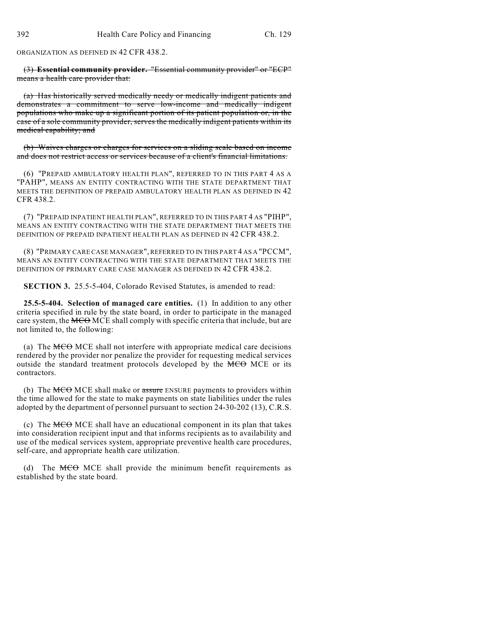ORGANIZATION AS DEFINED IN 42 CFR 438.2.

(3) **Essential community provider.** "Essential community provider" or "ECP" means a health care provider that:

(a) Has historically served medically needy or medically indigent patients and demonstrates a commitment to serve low-income and medically indigent populations who make up a significant portion of its patient population or, in the case of a sole community provider, serves the medically indigent patients within its medical capability; and

(b) Waives charges or charges for services on a sliding scale based on income and does not restrict access or services because of a client's financial limitations.

(6) "PREPAID AMBULATORY HEALTH PLAN", REFERRED TO IN THIS PART 4 AS A "PAHP", MEANS AN ENTITY CONTRACTING WITH THE STATE DEPARTMENT THAT MEETS THE DEFINITION OF PREPAID AMBULATORY HEALTH PLAN AS DEFINED IN 42 CFR 438.2.

(7) "PREPAID INPATIENT HEALTH PLAN", REFERRED TO IN THIS PART 4 AS "PIHP", MEANS AN ENTITY CONTRACTING WITH THE STATE DEPARTMENT THAT MEETS THE DEFINITION OF PREPAID INPATIENT HEALTH PLAN AS DEFINED IN 42 CFR 438.2.

(8) "PRIMARY CARE CASE MANAGER", REFERRED TO IN THIS PART 4 AS A "PCCM", MEANS AN ENTITY CONTRACTING WITH THE STATE DEPARTMENT THAT MEETS THE DEFINITION OF PRIMARY CARE CASE MANAGER AS DEFINED IN 42 CFR 438.2.

**SECTION 3.** 25.5-5-404, Colorado Revised Statutes, is amended to read:

**25.5-5-404. Selection of managed care entities.** (1) In addition to any other criteria specified in rule by the state board, in order to participate in the managed care system, the MCO MCE shall comply with specific criteria that include, but are not limited to, the following:

(a) The  $MCO$  MCE shall not interfere with appropriate medical care decisions rendered by the provider nor penalize the provider for requesting medical services outside the standard treatment protocols developed by the MCO MCE or its contractors.

(b) The  $MCO$  MCE shall make or assure ENSURE payments to providers within the time allowed for the state to make payments on state liabilities under the rules adopted by the department of personnel pursuant to section 24-30-202 (13), C.R.S.

(c) The  $M\text{CO}$  MCE shall have an educational component in its plan that takes into consideration recipient input and that informs recipients as to availability and use of the medical services system, appropriate preventive health care procedures, self-care, and appropriate health care utilization.

(d) The MCO MCE shall provide the minimum benefit requirements as established by the state board.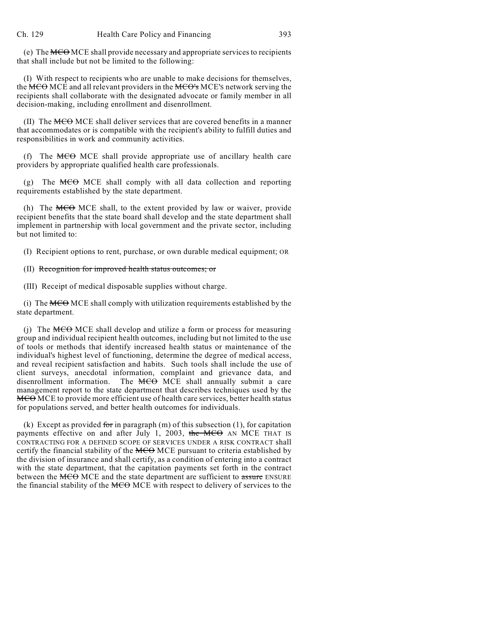(e) The MCO MCE shall provide necessary and appropriate services to recipients that shall include but not be limited to the following:

(I) With respect to recipients who are unable to make decisions for themselves, the MCO MCE and all relevant providers in the MCO's MCE's network serving the recipients shall collaborate with the designated advocate or family member in all decision-making, including enrollment and disenrollment.

(II) The MCO MCE shall deliver services that are covered benefits in a manner that accommodates or is compatible with the recipient's ability to fulfill duties and responsibilities in work and community activities.

(f) The  $MCO$  MCE shall provide appropriate use of ancillary health care providers by appropriate qualified health care professionals.

(g) The  $MCO$  MCE shall comply with all data collection and reporting requirements established by the state department.

(h) The  $MCO$  MCE shall, to the extent provided by law or waiver, provide recipient benefits that the state board shall develop and the state department shall implement in partnership with local government and the private sector, including but not limited to:

(I) Recipient options to rent, purchase, or own durable medical equipment; OR

## (II) Recognition for improved health status outcomes; or

(III) Receipt of medical disposable supplies without charge.

(i) The  $MCO$  MCE shall comply with utilization requirements established by the state department.

(j) The  $MCO$  MCE shall develop and utilize a form or process for measuring group and individual recipient health outcomes, including but not limited to the use of tools or methods that identify increased health status or maintenance of the individual's highest level of functioning, determine the degree of medical access, and reveal recipient satisfaction and habits. Such tools shall include the use of client surveys, anecdotal information, complaint and grievance data, and disenrollment information. The MCO MCE shall annually submit a care management report to the state department that describes techniques used by the MCO MCE to provide more efficient use of health care services, better health status for populations served, and better health outcomes for individuals.

(k) Except as provided for in paragraph  $(m)$  of this subsection (1), for capitation payments effective on and after July 1, 2003, the  $MCO$  AN MCE THAT IS CONTRACTING FOR A DEFINED SCOPE OF SERVICES UNDER A RISK CONTRACT shall certify the financial stability of the MCO MCE pursuant to criteria established by the division of insurance and shall certify, as a condition of entering into a contract with the state department, that the capitation payments set forth in the contract between the MCO MCE and the state department are sufficient to assure ENSURE the financial stability of the MCO MCE with respect to delivery of services to the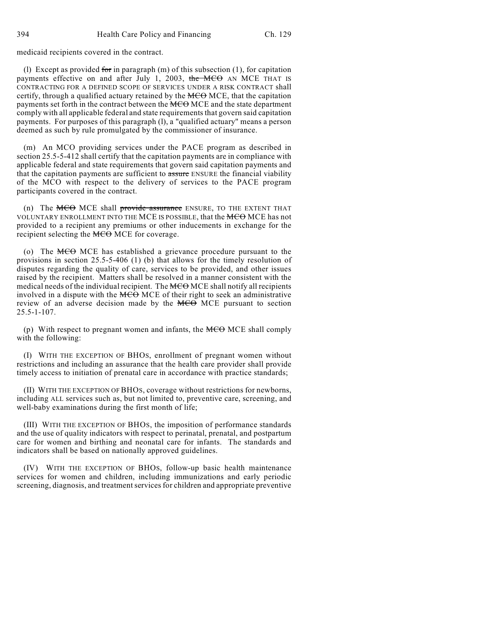medicaid recipients covered in the contract.

(1) Except as provided for in paragraph  $(m)$  of this subsection (1), for capitation payments effective on and after July 1, 2003, the MCO AN MCE THAT IS CONTRACTING FOR A DEFINED SCOPE OF SERVICES UNDER A RISK CONTRACT shall certify, through a qualified actuary retained by the  $MCO$  MCE, that the capitation payments set forth in the contract between the MCO MCE and the state department comply with all applicable federal and state requirements that govern said capitation payments. For purposes of this paragraph (l), a "qualified actuary" means a person deemed as such by rule promulgated by the commissioner of insurance.

(m) An MCO providing services under the PACE program as described in section 25.5-5-412 shall certify that the capitation payments are in compliance with applicable federal and state requirements that govern said capitation payments and that the capitation payments are sufficient to assure ENSURE the financial viability of the MCO with respect to the delivery of services to the PACE program participants covered in the contract.

(n) The  $MCO$  MCE shall provide assurance ENSURE, TO THE EXTENT THAT VOLUNTARY ENROLLMENT INTO THE MCE IS POSSIBLE, that the MCO MCE has not provided to a recipient any premiums or other inducements in exchange for the recipient selecting the MCO MCE for coverage.

(o) The MCO MCE has established a grievance procedure pursuant to the provisions in section 25.5-5-406 (1) (b) that allows for the timely resolution of disputes regarding the quality of care, services to be provided, and other issues raised by the recipient. Matters shall be resolved in a manner consistent with the medical needs of the individual recipient. The MCO MCE shall notify all recipients involved in a dispute with the MCO MCE of their right to seek an administrative review of an adverse decision made by the  $MCO$  MCE pursuant to section 25.5-1-107.

(p) With respect to pregnant women and infants, the  $\overline{MCO}$  MCE shall comply with the following:

(I) WITH THE EXCEPTION OF BHOS, enrollment of pregnant women without restrictions and including an assurance that the health care provider shall provide timely access to initiation of prenatal care in accordance with practice standards;

(II) WITH THE EXCEPTION OF BHOS, coverage without restrictions for newborns, including ALL services such as, but not limited to, preventive care, screening, and well-baby examinations during the first month of life;

(III) WITH THE EXCEPTION OF BHOS, the imposition of performance standards and the use of quality indicators with respect to perinatal, prenatal, and postpartum care for women and birthing and neonatal care for infants. The standards and indicators shall be based on nationally approved guidelines.

(IV) WITH THE EXCEPTION OF BHOS, follow-up basic health maintenance services for women and children, including immunizations and early periodic screening, diagnosis, and treatment services for children and appropriate preventive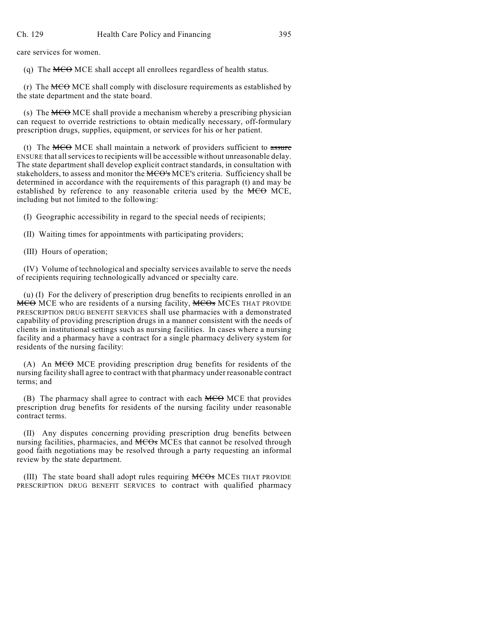care services for women.

(q) The  $MCO$  MCE shall accept all enrollees regardless of health status.

(r) The  $MCO$  MCE shall comply with disclosure requirements as established by the state department and the state board.

(s) The MCO MCE shall provide a mechanism whereby a prescribing physician can request to override restrictions to obtain medically necessary, off-formulary prescription drugs, supplies, equipment, or services for his or her patient.

(t) The  $MCO$  MCE shall maintain a network of providers sufficient to assure ENSURE that all services to recipients will be accessible without unreasonable delay. The state department shall develop explicit contract standards, in consultation with stakeholders, to assess and monitor the MCO's MCE's criteria. Sufficiency shall be determined in accordance with the requirements of this paragraph (t) and may be established by reference to any reasonable criteria used by the MCO MCE, including but not limited to the following:

(I) Geographic accessibility in regard to the special needs of recipients;

(II) Waiting times for appointments with participating providers;

(III) Hours of operation;

(IV) Volume of technological and specialty services available to serve the needs of recipients requiring technologically advanced or specialty care.

(u) (I) For the delivery of prescription drug benefits to recipients enrolled in an MCO MCE who are residents of a nursing facility, MCOs MCES THAT PROVIDE PRESCRIPTION DRUG BENEFIT SERVICES shall use pharmacies with a demonstrated capability of providing prescription drugs in a manner consistent with the needs of clients in institutional settings such as nursing facilities. In cases where a nursing facility and a pharmacy have a contract for a single pharmacy delivery system for residents of the nursing facility:

(A) An MCO MCE providing prescription drug benefits for residents of the nursing facility shall agree to contract with that pharmacy under reasonable contract terms; and

(B) The pharmacy shall agree to contract with each  $MCO$  MCE that provides prescription drug benefits for residents of the nursing facility under reasonable contract terms.

(II) Any disputes concerning providing prescription drug benefits between nursing facilities, pharmacies, and  $MCOs$  MCEs that cannot be resolved through good faith negotiations may be resolved through a party requesting an informal review by the state department.

(III) The state board shall adopt rules requiring MCOs MCES THAT PROVIDE PRESCRIPTION DRUG BENEFIT SERVICES to contract with qualified pharmacy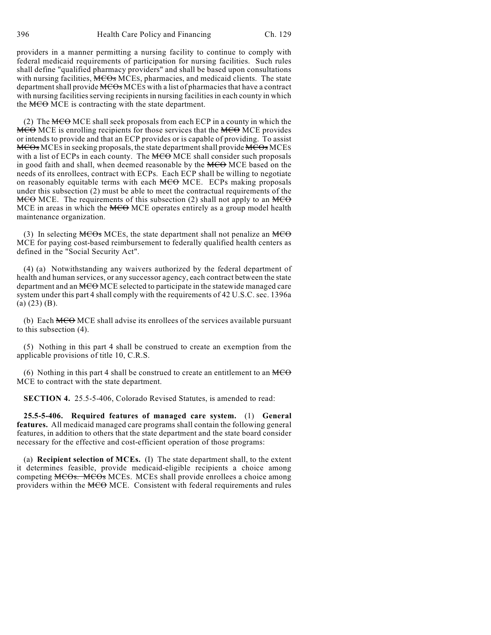providers in a manner permitting a nursing facility to continue to comply with federal medicaid requirements of participation for nursing facilities. Such rules shall define "qualified pharmacy providers" and shall be based upon consultations with nursing facilities, MCOs MCEs, pharmacies, and medicaid clients. The state department shall provide MCOs MCES with a list of pharmacies that have a contract with nursing facilities serving recipients in nursing facilities in each county in which the  $MCO$  MCE is contracting with the state department.

(2) The  $\overline{MCO}$  MCE shall seek proposals from each ECP in a county in which the **MCO** MCE is enrolling recipients for those services that the MCO MCE provides or intends to provide and that an ECP provides or is capable of providing. To assist MCOs MCES in seeking proposals, the state department shall provide MCOs MCES with a list of ECPs in each county. The  $MCO$  MCE shall consider such proposals in good faith and shall, when deemed reasonable by the  $MCO$  MCE based on the needs of its enrollees, contract with ECPs. Each ECP shall be willing to negotiate on reasonably equitable terms with each  $MCO$  MCE. ECPs making proposals under this subsection (2) must be able to meet the contractual requirements of the  $MCO$  MCE. The requirements of this subsection (2) shall not apply to an  $MCO$ MCE in areas in which the MCO MCE operates entirely as a group model health maintenance organization.

(3) In selecting  $\overline{MCOs}$  MCEs, the state department shall not penalize an  $\overline{MCO}$ MCE for paying cost-based reimbursement to federally qualified health centers as defined in the "Social Security Act".

(4) (a) Notwithstanding any waivers authorized by the federal department of health and human services, or any successor agency, each contract between the state department and an MCO MCE selected to participate in the statewide managed care system under this part 4 shall comply with the requirements of 42 U.S.C. sec. 1396a (a) (23) (B).

(b) Each  $MCO$  MCE shall advise its enrollees of the services available pursuant to this subsection (4).

(5) Nothing in this part 4 shall be construed to create an exemption from the applicable provisions of title 10, C.R.S.

(6) Nothing in this part 4 shall be construed to create an entitlement to an  $\overline{MCO}$ MCE to contract with the state department.

**SECTION 4.** 25.5-5-406, Colorado Revised Statutes, is amended to read:

**25.5-5-406. Required features of managed care system.** (1) **General features.** All medicaid managed care programs shall contain the following general features, in addition to others that the state department and the state board consider necessary for the effective and cost-efficient operation of those programs:

(a) **Recipient selection of MCEs.** (I) The state department shall, to the extent it determines feasible, provide medicaid-eligible recipients a choice among competing MCOs. MCOs MCES. MCES shall provide enrollees a choice among providers within the MCO MCE. Consistent with federal requirements and rules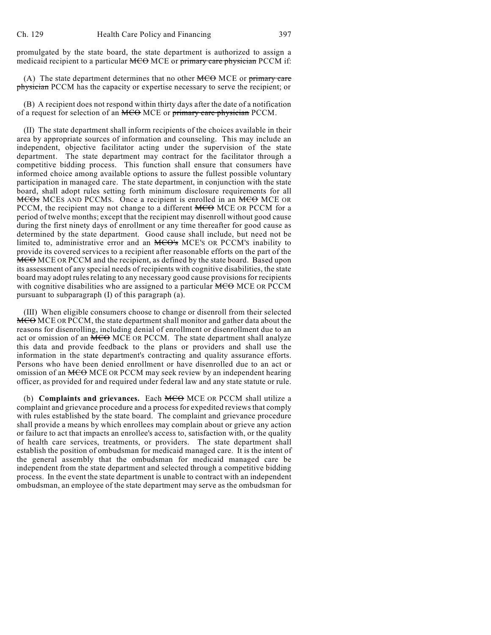promulgated by the state board, the state department is authorized to assign a medicaid recipient to a particular MCO MCE or primary care physician PCCM if:

(A) The state department determines that no other  $\overline{MCO}$  MCE or primary care physician PCCM has the capacity or expertise necessary to serve the recipient; or

(B) A recipient does not respond within thirty days after the date of a notification of a request for selection of an MCO MCE or primary care physician PCCM.

(II) The state department shall inform recipients of the choices available in their area by appropriate sources of information and counseling. This may include an independent, objective facilitator acting under the supervision of the state department. The state department may contract for the facilitator through a competitive bidding process. This function shall ensure that consumers have informed choice among available options to assure the fullest possible voluntary participation in managed care. The state department, in conjunction with the state board, shall adopt rules setting forth minimum disclosure requirements for all MCOs MCES AND PCCMS. Once a recipient is enrolled in an MCO MCE OR PCCM, the recipient may not change to a different MCO MCE OR PCCM for a period of twelve months; except that the recipient may disenroll without good cause during the first ninety days of enrollment or any time thereafter for good cause as determined by the state department. Good cause shall include, but need not be limited to, administrative error and an MCO's MCE's OR PCCM's inability to provide its covered services to a recipient after reasonable efforts on the part of the **MCO** MCE OR PCCM and the recipient, as defined by the state board. Based upon its assessment of any special needs of recipients with cognitive disabilities, the state board may adopt rules relating to any necessary good cause provisions for recipients with cognitive disabilities who are assigned to a particular MCO MCE OR PCCM pursuant to subparagraph (I) of this paragraph (a).

(III) When eligible consumers choose to change or disenroll from their selected MCO MCE OR PCCM, the state department shall monitor and gather data about the reasons for disenrolling, including denial of enrollment or disenrollment due to an act or omission of an MCO MCE OR PCCM. The state department shall analyze this data and provide feedback to the plans or providers and shall use the information in the state department's contracting and quality assurance efforts. Persons who have been denied enrollment or have disenrolled due to an act or omission of an MCO MCE OR PCCM may seek review by an independent hearing officer, as provided for and required under federal law and any state statute or rule.

(b) **Complaints and grievances.** Each **MCO** MCE OR PCCM shall utilize a complaint and grievance procedure and a process for expedited reviews that comply with rules established by the state board. The complaint and grievance procedure shall provide a means by which enrollees may complain about or grieve any action or failure to act that impacts an enrollee's access to, satisfaction with, or the quality of health care services, treatments, or providers. The state department shall establish the position of ombudsman for medicaid managed care. It is the intent of the general assembly that the ombudsman for medicaid managed care be independent from the state department and selected through a competitive bidding process. In the event the state department is unable to contract with an independent ombudsman, an employee of the state department may serve as the ombudsman for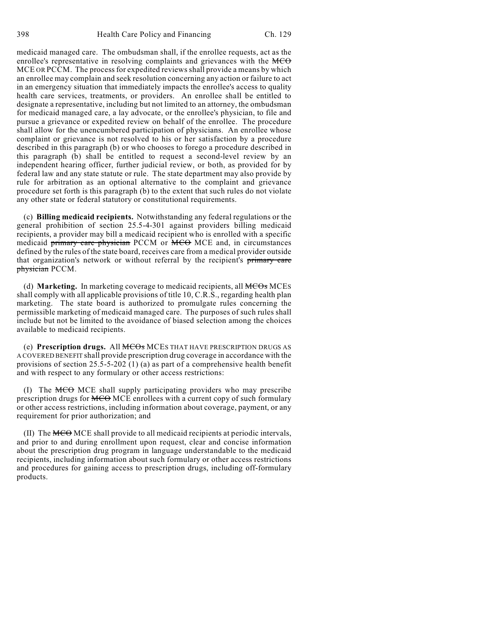medicaid managed care. The ombudsman shall, if the enrollee requests, act as the enrollee's representative in resolving complaints and grievances with the  $\overline{MCO}$ MCE OR PCCM. The process for expedited reviews shall provide a means by which an enrollee may complain and seek resolution concerning any action or failure to act in an emergency situation that immediately impacts the enrollee's access to quality health care services, treatments, or providers. An enrollee shall be entitled to designate a representative, including but not limited to an attorney, the ombudsman for medicaid managed care, a lay advocate, or the enrollee's physician, to file and pursue a grievance or expedited review on behalf of the enrollee. The procedure shall allow for the unencumbered participation of physicians. An enrollee whose complaint or grievance is not resolved to his or her satisfaction by a procedure described in this paragraph (b) or who chooses to forego a procedure described in this paragraph (b) shall be entitled to request a second-level review by an independent hearing officer, further judicial review, or both, as provided for by federal law and any state statute or rule. The state department may also provide by rule for arbitration as an optional alternative to the complaint and grievance procedure set forth is this paragraph (b) to the extent that such rules do not violate any other state or federal statutory or constitutional requirements.

(c) **Billing medicaid recipients.** Notwithstanding any federal regulations or the general prohibition of section 25.5-4-301 against providers billing medicaid recipients, a provider may bill a medicaid recipient who is enrolled with a specific medicaid primary care physician PCCM or MCO MCE and, in circumstances defined by the rules of the state board, receives care from a medical provider outside that organization's network or without referral by the recipient's primary care physician PCCM.

(d) **Marketing.** In marketing coverage to medicaid recipients, all **MCOs** MCEs shall comply with all applicable provisions of title 10, C.R.S., regarding health plan marketing. The state board is authorized to promulgate rules concerning the permissible marketing of medicaid managed care. The purposes of such rules shall include but not be limited to the avoidance of biased selection among the choices available to medicaid recipients.

(e) **Prescription drugs.** All MCOs MCES THAT HAVE PRESCRIPTION DRUGS AS A COVERED BENEFIT shall provide prescription drug coverage in accordance with the provisions of section  $25.5 - 5 - 202$  (1) (a) as part of a comprehensive health benefit and with respect to any formulary or other access restrictions:

(I) The MCO MCE shall supply participating providers who may prescribe prescription drugs for MCO MCE enrollees with a current copy of such formulary or other access restrictions, including information about coverage, payment, or any requirement for prior authorization; and

(II) The MCO MCE shall provide to all medicaid recipients at periodic intervals, and prior to and during enrollment upon request, clear and concise information about the prescription drug program in language understandable to the medicaid recipients, including information about such formulary or other access restrictions and procedures for gaining access to prescription drugs, including off-formulary products.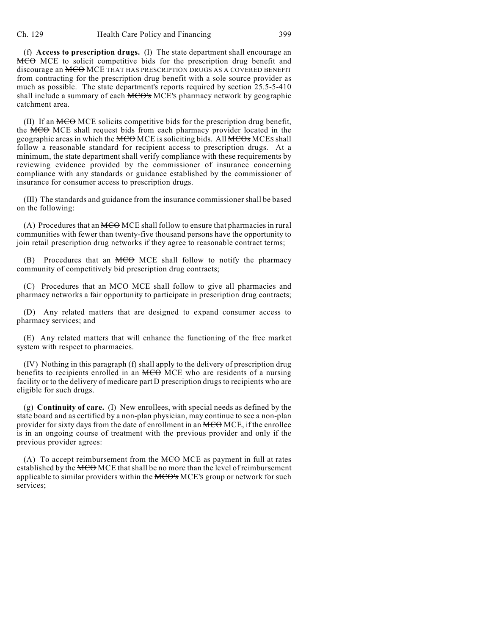(f) **Access to prescription drugs.** (I) The state department shall encourage an MCO MCE to solicit competitive bids for the prescription drug benefit and discourage an MCO MCE THAT HAS PRESCRIPTION DRUGS AS A COVERED BENEFIT from contracting for the prescription drug benefit with a sole source provider as much as possible. The state department's reports required by section 25.5-5-410 shall include a summary of each MCO's MCE's pharmacy network by geographic catchment area.

(II) If an  $\overline{MCO}$  MCE solicits competitive bids for the prescription drug benefit, the MCO MCE shall request bids from each pharmacy provider located in the geographic areas in which the MCO MCE is soliciting bids. All MCOs MCES shall follow a reasonable standard for recipient access to prescription drugs. At a minimum, the state department shall verify compliance with these requirements by reviewing evidence provided by the commissioner of insurance concerning compliance with any standards or guidance established by the commissioner of insurance for consumer access to prescription drugs.

(III) The standards and guidance from the insurance commissioner shall be based on the following:

(A) Procedures that an  $MCO$  MCE shall follow to ensure that pharmacies in rural communities with fewer than twenty-five thousand persons have the opportunity to join retail prescription drug networks if they agree to reasonable contract terms;

(B) Procedures that an MCO MCE shall follow to notify the pharmacy community of competitively bid prescription drug contracts;

(C) Procedures that an MCO MCE shall follow to give all pharmacies and pharmacy networks a fair opportunity to participate in prescription drug contracts;

(D) Any related matters that are designed to expand consumer access to pharmacy services; and

(E) Any related matters that will enhance the functioning of the free market system with respect to pharmacies.

(IV) Nothing in this paragraph (f) shall apply to the delivery of prescription drug benefits to recipients enrolled in an MCO MCE who are residents of a nursing facility or to the delivery of medicare part D prescription drugs to recipients who are eligible for such drugs.

(g) **Continuity of care.** (I) New enrollees, with special needs as defined by the state board and as certified by a non-plan physician, may continue to see a non-plan provider for sixty days from the date of enrollment in an MCO MCE, if the enrollee is in an ongoing course of treatment with the previous provider and only if the previous provider agrees:

(A) To accept reimbursement from the  $\overline{MCO}$  MCE as payment in full at rates established by the MCO MCE that shall be no more than the level of reimbursement applicable to similar providers within the MCO's MCE's group or network for such services;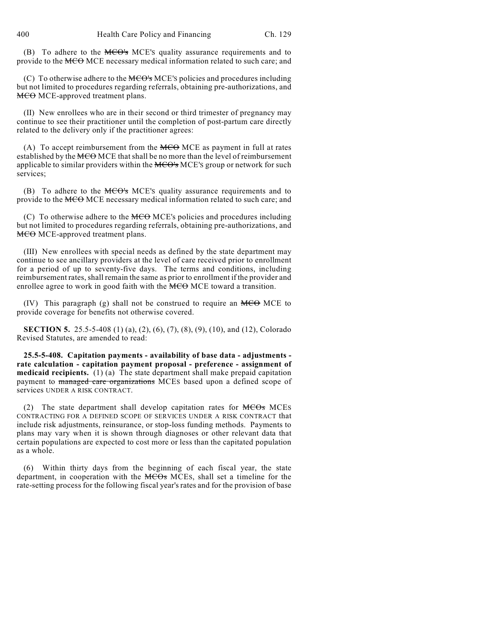(B) To adhere to the MCO's MCE'S quality assurance requirements and to provide to the MCO MCE necessary medical information related to such care; and

(C) To otherwise adhere to the MCO's MCE'S policies and procedures including but not limited to procedures regarding referrals, obtaining pre-authorizations, and MCO MCE-approved treatment plans.

(II) New enrollees who are in their second or third trimester of pregnancy may continue to see their practitioner until the completion of post-partum care directly related to the delivery only if the practitioner agrees:

(A) To accept reimbursement from the  $MCO$  MCE as payment in full at rates established by the MCO MCE that shall be no more than the level of reimbursement applicable to similar providers within the MCO's MCE's group or network for such services;

(B) To adhere to the  $\overline{MCO}$ 's MCE's quality assurance requirements and to provide to the MCO MCE necessary medical information related to such care; and

(C) To otherwise adhere to the  $\overline{MCO}$  MCE's policies and procedures including but not limited to procedures regarding referrals, obtaining pre-authorizations, and MCO MCE-approved treatment plans.

(III) New enrollees with special needs as defined by the state department may continue to see ancillary providers at the level of care received prior to enrollment for a period of up to seventy-five days. The terms and conditions, including reimbursement rates, shall remain the same as prior to enrollment if the provider and enrollee agree to work in good faith with the MCO MCE toward a transition.

(IV) This paragraph (g) shall not be construed to require an  $MCO$  MCE to provide coverage for benefits not otherwise covered.

**SECTION 5.** 25.5-5-408 (1) (a), (2), (6), (7), (8), (9), (10), and (12), Colorado Revised Statutes, are amended to read:

**25.5-5-408. Capitation payments - availability of base data - adjustments rate calculation - capitation payment proposal - preference - assignment of medicaid recipients.** (1) (a) The state department shall make prepaid capitation payment to managed care organizations MCEs based upon a defined scope of services UNDER A RISK CONTRACT.

(2) The state department shall develop capitation rates for  $\overline{MCOs}$  MCEs CONTRACTING FOR A DEFINED SCOPE OF SERVICES UNDER A RISK CONTRACT that include risk adjustments, reinsurance, or stop-loss funding methods. Payments to plans may vary when it is shown through diagnoses or other relevant data that certain populations are expected to cost more or less than the capitated population as a whole.

(6) Within thirty days from the beginning of each fiscal year, the state department, in cooperation with the MCOs MCES, shall set a timeline for the rate-setting process for the following fiscal year's rates and for the provision of base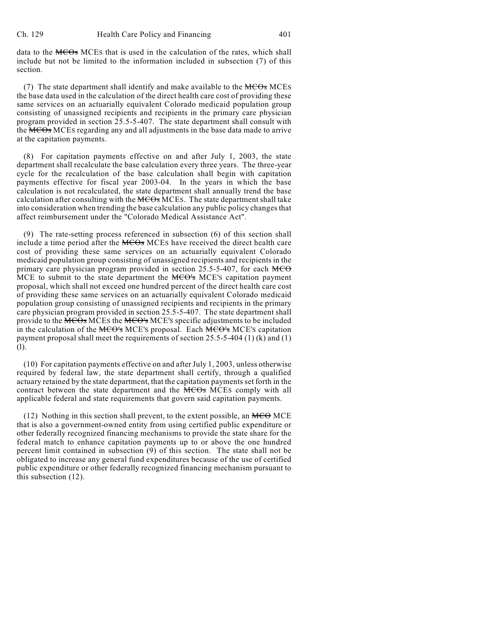data to the  $MCO<sub>s</sub>$  MCEs that is used in the calculation of the rates, which shall include but not be limited to the information included in subsection (7) of this section.

(7) The state department shall identify and make available to the  $\overline{MCOs}$  MCEs the base data used in the calculation of the direct health care cost of providing these same services on an actuarially equivalent Colorado medicaid population group consisting of unassigned recipients and recipients in the primary care physician program provided in section 25.5-5-407. The state department shall consult with the MCO<sub>S</sub> MCES regarding any and all adjustments in the base data made to arrive at the capitation payments.

(8) For capitation payments effective on and after July 1, 2003, the state department shall recalculate the base calculation every three years. The three-year cycle for the recalculation of the base calculation shall begin with capitation payments effective for fiscal year 2003-04. In the years in which the base calculation is not recalculated, the state department shall annually trend the base calculation after consulting with the MCOs MCES. The state department shall take into consideration when trending the base calculation any public policy changes that affect reimbursement under the "Colorado Medical Assistance Act".

(9) The rate-setting process referenced in subsection (6) of this section shall include a time period after the MCOs MCES have received the direct health care cost of providing these same services on an actuarially equivalent Colorado medicaid population group consisting of unassigned recipients and recipients in the primary care physician program provided in section  $25.5$ -5-407, for each  $MCO$ MCE to submit to the state department the MCO's MCE's capitation payment proposal, which shall not exceed one hundred percent of the direct health care cost of providing these same services on an actuarially equivalent Colorado medicaid population group consisting of unassigned recipients and recipients in the primary care physician program provided in section 25.5-5-407. The state department shall provide to the MCOs MCES the MCO's MCE'S specific adjustments to be included in the calculation of the MCO's MCE's proposal. Each MCO's MCE's capitation payment proposal shall meet the requirements of section 25.5-5-404 (1) (k) and (1) (l).

(10) For capitation payments effective on and after July 1, 2003, unless otherwise required by federal law, the state department shall certify, through a qualified actuary retained by the state department, that the capitation payments set forth in the contract between the state department and the MCOs MCES comply with all applicable federal and state requirements that govern said capitation payments.

(12) Nothing in this section shall prevent, to the extent possible, an  $\overline{MCO}$  MCE that is also a government-owned entity from using certified public expenditure or other federally recognized financing mechanisms to provide the state share for the federal match to enhance capitation payments up to or above the one hundred percent limit contained in subsection (9) of this section. The state shall not be obligated to increase any general fund expenditures because of the use of certified public expenditure or other federally recognized financing mechanism pursuant to this subsection (12).